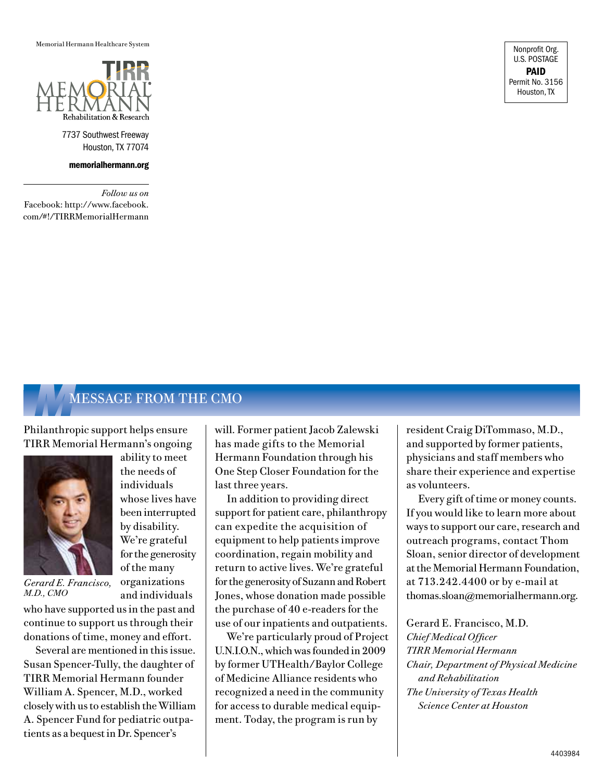Memorial Hermann Healthcare System



7737 Southwest Freeway Houston, TX 77074

memorialhermann.org

*Follow us on* Facebook: http://www.facebook. com/#!/TIRRMemorialHermann

Nonprofit Org. U.S. POSTAGE PAID Permit No. 3156 Houston, TX

## **MESSAGE FROM THE CMO**

Philanthropic support helps ensure TIRR Memorial Hermann's ongoing



*Gerard E. Francisco, M.D., CMO*

who have supported us in the past and continue to support us through their donations of time, money and effort.

Several are mentioned in this issue. Susan Spencer-Tully, the daughter of TIRR Memorial Hermann founder William A. Spencer, M.D., worked closely with us to establish the William A. Spencer Fund for pediatric outpatients as a bequest in Dr. Spencer's

ability to meet the needs of individuals whose lives have been interrupted by disability. We're grateful for the generosity of the many organizations and individuals

will. Former patient Jacob Zalewski has made gifts to the Memorial Hermann Foundation through his One Step Closer Foundation for the last three years.

In addition to providing direct support for patient care, philanthropy can expedite the acquisition of equipment to help patients improve coordination, regain mobility and return to active lives. We're grateful for the generosity of Suzann and Robert Jones, whose donation made possible the purchase of 40 e-readers for the use of our inpatients and outpatients.

We're particularly proud of Project U.N.I.O.N., which was founded in 2009 by former UTHealth/Baylor College of Medicine Alliance residents who recognized a need in the community for access to durable medical equipment. Today, the program is run by

resident Craig DiTommaso, M.D., and supported by former patients, physicians and staff members who share their experience and expertise as volunteers.

Every gift of time or money counts. If you would like to learn more about ways to support our care, research and outreach programs, contact Thom Sloan, senior director of development at the Memorial Hermann Foundation, at 713.242.4400 or by e-mail at thomas.sloan@memorialhermann.org.

Gerard E. Francisco, M.D. *Chief Medical Officer TIRR Memorial Hermann Chair, Department of Physical Medicine and Rehabilitation The University of Texas Health Science Center at Houston*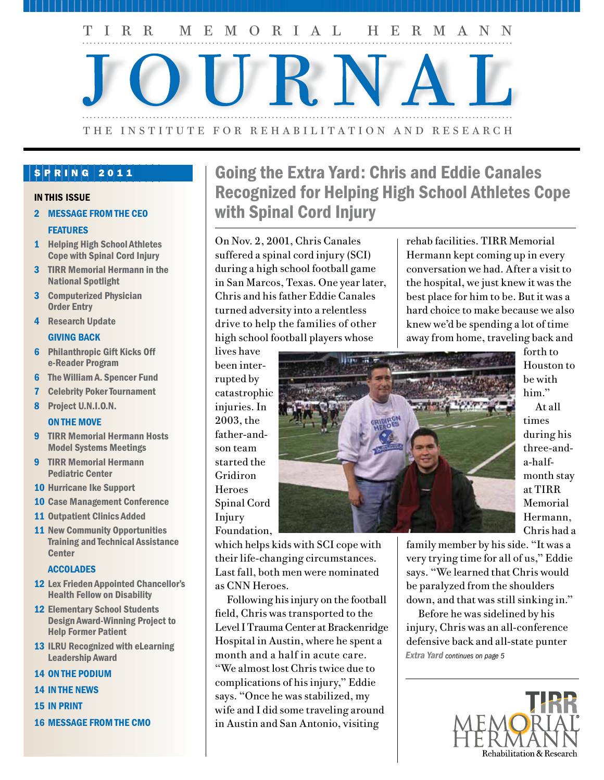T I R R M E M O R I A L H E R M A N N

# . . . . . . . . . . . . . . . . . . . . . . . . . . . . . . . . . . . . . . . . . . . . . . . . . . . . . . . . . . . . . . . . . . . . . . . . . . . . . . . . . . . . . . . . . . . . . . . . . . . . . . . . . . . . . . . . . . ..  $\blacksquare$ . . . . . . . . . . . . . . . . . . . . . . . . . . . . . . . . . . . . . . . . . . . . . . . . . . . . . . . . . . . . . . . . . . . . . . . . . . . . . . . . . . . . . . . . . . . . . . . . . . . . . . . . . . . . . . . . . . ..THE INSTITUTE FOR REHABILITATION AND RESEARCH

## $S$  P R I N G 2011

#### IN THIS ISSUE

2 MESSAGE FROM THE CEO

### **FEATURES**

- 1 Helping High School Athletes Cope with Spinal Cord Injury
- 3 TIRR Memorial Hermann in the National Spotlight
- 3 Computerized Physician Order Entry
- 4 Research Update

### GIVING BACK

- 6 Philanthropic Gift Kicks Off e-Reader Program
- 6 The William A. Spencer Fund
- 7 Celebrity Poker Tournament
- 8 Project U.N.I.O.N.

### ON THE MOVE

- 9 TIRR Memorial Hermann Hosts Model Systems Meetings
- 9 TIRR Memorial Hermann Pediatric Center
- 10 Hurricane Ike Support
- 10 Case Management Conference
- 11 Outpatient Clinics Added
- 11 New Community Opportunities Training and Technical Assistance **Center**

#### **ACCOLADES**

- 12 Lex Frieden Appointed Chancellor's Health Fellow on Disability
- 12 Elementary School Students Design Award-Winning Project to Help Former Patient
- 13 ILRU Recognized with eLearning Leadership Award
- 14 ON THE PODIUM
- 14 In The News
- 15 IN PRINT
- 16 MESSAGE FROM THE CMO

## Going the Extra Yard: Chris and Eddie Canales Recognized for Helping High School Athletes Cope with Spinal Cord Injury

On Nov. 2, 2001, Chris Canales suffered a spinal cord injury (SCI) during a high school football game in San Marcos, Texas. One year later, Chris and his father Eddie Canales turned adversity into a relentless drive to help the families of other high school football players whose

lives have

rupted by

2003, the

son team

Gridiron **Heroes** 

Injury

rehab facilities. TIRR Memorial Hermann kept coming up in every conversation we had. After a visit to the hospital, we just knew it was the best place for him to be. But it was a hard choice to make because we also knew we'd be spending a lot of time away from home, traveling back and



forth to Houston to be with him."

At all times during his three-anda-halfmonth stay at TIRR Memorial Hermann, Chris had a

which helps kids with SCI cope with their life-changing circumstances. Last fall, both men were nominated as CNN Heroes.

Following his injury on the football field, Chris was transported to the Level I Trauma Center at Brackenridge Hospital in Austin, where he spent a month and a half in acute care. "We almost lost Chris twice due to complications of his injury," Eddie says. "Once he was stabilized, my wife and I did some traveling around in Austin and San Antonio, visiting

family member by his side. "It was a very trying time for all of us," Eddie says. "We learned that Chris would be paralyzed from the shoulders down, and that was still sinking in."

Before he was sidelined by his injury, Chris was an all-conference defensive back and all-state punter *Extra Yard continues on page 5*

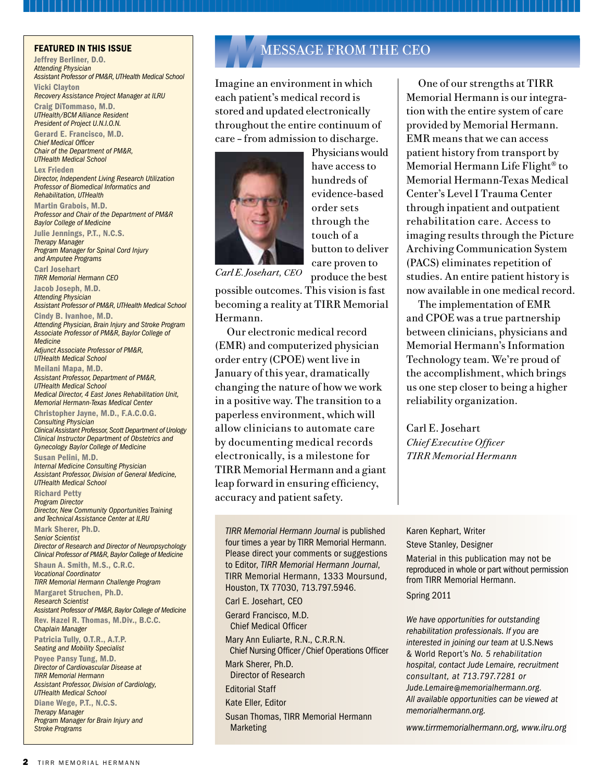Jeffrey Berliner, D.O. *Attending Physician Assistant Professor of PM&R, UTHealth Medical School* Vicki Clayton *Recovery Assistance Project Manager at ILRU* Craig DiTommaso, M.D. *UTHealth/BCM Alliance Resident President of Project U.N.I.O.N.*  Gerard E. Francisco, M.D. *Chief Medical Officer Chair of the Department of PM&R, UTHealth Medical School* Lex Frieden *Director, Independent Living Research Utilization Professor of Biomedical Informatics and Rehabilitation, UTHealth*  Martin Grabois, M.D. *Professor and Chair of the Department of PM&R Baylor College of Medicine* Julie Jennings, P.T., N.C.S. *Therapy Manager Program Manager for Spinal Cord Injury and Amputee Programs* Carl Josehart *TIRR Memorial Hermann CEO* Jacob Joseph, M.D. *Attending Physician Assistant Professor of PM&R, UTHealth Medical School* Cindy B. Ivanhoe, M.D. *Attending Physician, Brain Injury and Stroke Program Associate Professor of PM&R, Baylor College of Medicine Adjunct Associate Professor of PM&R, UTHealth Medical School* Meilani Mapa, M.D. *Assistant Professor, Department of PM&R, UTHealth Medical School Medical Director, 4 East Jones Rehabilitation Unit, Memorial Hermann-Texas Medical Center* Christopher Jayne, M.D., F.A.C.O.G. *Consulting Physician Clinical Assistant Professor, Scott Department of Urology Clinical Instructor Department of Obstetrics and Gynecology Baylor College of Medicine* Susan Pelini, M.D. *Internal Medicine Consulting Physician Assistant Professor, Division of General Medicine, UTHealth Medical School* Richard Petty *Program Director Director, New Community Opportunities Training and Technical Assistance Center at ILRU* Mark Sherer, Ph.D. *Senior Scientist Director of Research and Director of Neuropsychology Clinical Professor of PM&R, Baylor College of Medicine* Shaun A. Smith, M.S., C.R.C. *Vocational Coordinator TIRR Memorial Hermann Challenge Program* Margaret Struchen, Ph.D. *Research Scientist Assistant Professor of PM&R, Baylor College of Medicine* Rev. Hazel R. Thomas, M.Div., B.C.C. *Chaplain Manager* Patricia Tully, O.T.R., A.T.P. *Seating and Mobility Specialist*  Poyee Pansy Tung, M.D. *Director of Cardiovascular Disease at TIRR Memorial Hermann Assistant Professor, Division of Cardiology, UTHealth Medical School* Diane Wege, P.T., N.C.S. *Therapy Manager Program Manager for Brain Injury and Stroke Programs*

## FEATURED IN THIS ISSUE **MUSIC IN THE CHANGE ASSACE FROM THE CEO**

Imagine an environment in which each patient's medical record is stored and updated electronically throughout the entire continuum of care – from admission to discharge.



Physicians would have access to hundreds of evidence-based order sets through the touch of a button to deliver care proven to

produce the best

*Carl E. Josehart, CEO*

possible outcomes. This vision is fast becoming a reality at TIRR Memorial Hermann.

Our electronic medical record (EMR) and computerized physician order entry (CPOE) went live in January of this year, dramatically changing the nature of how we work in a positive way. The transition to a paperless environment, which will allow clinicians to automate care by documenting medical records electronically, is a milestone for TIRR Memorial Hermann and a giant leap forward in ensuring efficiency, accuracy and patient safety.

*TIRR Memorial Hermann Journal* is published four times a year by TIRR Memorial Hermann. Please direct your comments or suggestions to Editor, *TIRR Memorial Hermann Journal*, TIRR Memorial Hermann, 1333 Moursund, Houston, TX 77030, 713.797.5946.

Carl E. Josehart, CEO Gerard Francisco, M.D. Chief Medical Officer

Mary Ann Euliarte, R.N., C.R.R.N. Chief Nursing Officer /Chief Operations Officer

Mark Sherer, Ph.D. Director of Research

Editorial Staff

Kate Eller, Editor

Susan Thomas, TIRR Memorial Hermann Marketing

One of our strengths at TIRR Memorial Hermann is our integration with the entire system of care provided by Memorial Hermann. EMR means that we can access patient history from transport by Memorial Hermann Life Flight® to Memorial Hermann-Texas Medical Center's Level I Trauma Center through inpatient and outpatient rehabilitation care. Access to imaging results through the Picture Archiving Communication System (PACS) eliminates repetition of studies. An entire patient history is now available in one medical record.

The implementation of EMR and CPOE was a true partnership between clinicians, physicians and Memorial Hermann's Information Technology team. We're proud of the accomplishment, which brings us one step closer to being a higher reliability organization.

Carl E. Josehart *Chief Executive Officer TIRR Memorial Hermann*

#### Karen Kephart, Writer Steve Stanley, Designer

Material in this publication may not be reproduced in whole or part without permission from TIRR Memorial Hermann.

#### Spring 2011

*We have opportunities for outstanding rehabilitation professionals. If you are interested in joining our team at* U.S.News & World Report's *No. 5 rehabilitation hospital, contact Jude Lemaire, recruitment consultant, at 713.797.7281 or Jude.Lemaire@memorialhermann.org. All available opportunities can be viewed at memorialhermann.org.*

*www.tirrmemorialhermann.org, www.ilru.org*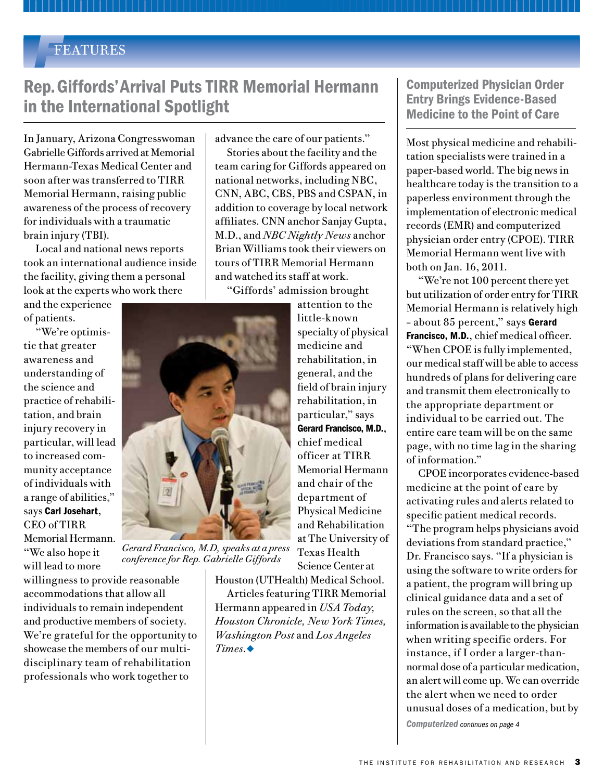## *F*FEATURES

## Rep. Giffords' Arrival Puts TIRR Memorial Hermann in the International Spotlight

In January, Arizona Congresswoman Gabrielle Giffords arrived at Memorial Hermann-Texas Medical Center and soon after was transferred to TIRR Memorial Hermann, raising public awareness of the process of recovery for individuals with a traumatic brain injury (TBI).

Local and national news reports took an international audience inside the facility, giving them a personal look at the experts who work there

and the experience of patients.

"We're optimistic that greater awareness and understanding of the science and practice of rehabilitation, and brain injury recovery in particular, will lead to increased community acceptance of individuals with a range of abilities," says Carl Josehart, CEO of TIRR Memorial Hermann. "We also hope it will lead to more

willingness to provide reasonable accommodations that allow all individuals to remain independent and productive members of society. We're grateful for the opportunity to showcase the members of our multidisciplinary team of rehabilitation professionals who work together to

advance the care of our patients."

Stories about the facility and the team caring for Giffords appeared on national networks, including NBC, CNN, ABC, CBS, PBS and CSPAN, in addition to coverage by local network affiliates. CNN anchor Sanjay Gupta, M.D., and *NBC Nightly News* anchor Brian Williams took their viewers on tours of TIRR Memorial Hermann and watched its staff at work.

"Giffords' admission brought

attention to the little-known specialty of physical medicine and rehabilitation, in general, and the field of brain injury rehabilitation, in particular," says Gerard Francisco, M.D., chief medical officer at TIRR Memorial Hermann and chair of the department of Physical Medicine and Rehabilitation at The University of Texas Health Science Center at

Houston (UTHealth) Medical School. Articles featuring TIRR Memorial Hermann appeared in *USA Today, Houston Chronicle, New York Times, Washington Post* and *Los Angeles Times.*◆

Computerized Physician Order Entry Brings Evidence-Based Medicine to the Point of Care

Most physical medicine and rehabilitation specialists were trained in a paper-based world. The big news in healthcare today is the transition to a paperless environment through the implementation of electronic medical records (EMR) and computerized physician order entry (CPOE). TIRR Memorial Hermann went live with both on Jan. 16, 2011.

"We're not 100 percent there yet but utilization of order entry for TIRR Memorial Hermann is relatively high - about 85 percent," says Gerard Francisco, M.D., chief medical officer. "When CPOE is fully implemented, our medical staff will be able to access hundreds of plans for delivering care and transmit them electronically to the appropriate department or individual to be carried out. The entire care team will be on the same page, with no time lag in the sharing of information."

CPOE incorporates evidence-based medicine at the point of care by activating rules and alerts related to specific patient medical records. "The program helps physicians avoid deviations from standard practice," Dr. Francisco says. "If a physician is using the software to write orders for a patient, the program will bring up clinical guidance data and a set of rules on the screen, so that all the information is available to the physician when writing specific orders. For instance, if I order a larger-thannormal dose of a particular medication, an alert will come up. We can override the alert when we need to order unusual doses of a medication, but by *Computerized continues on page 4*



*conference for Rep. Gabrielle Giffords*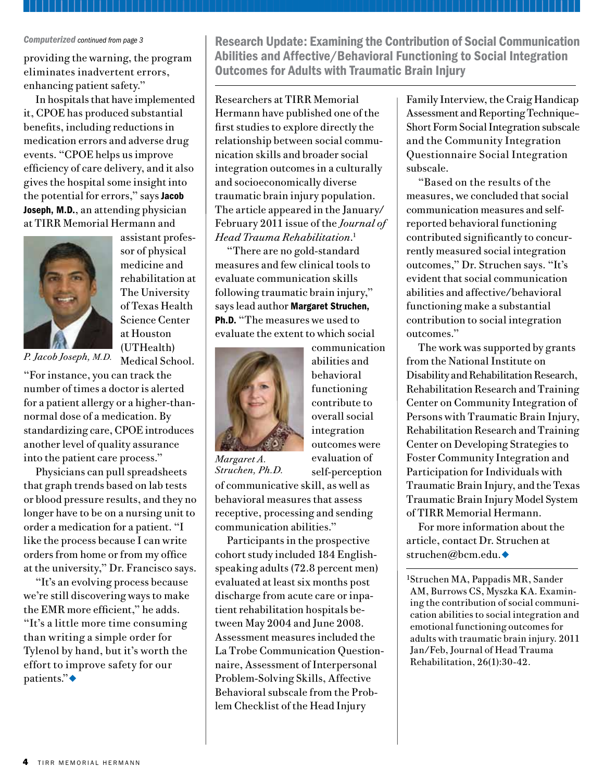#### *Computerized continued from page 3*

providing the warning, the program eliminates inadvertent errors, enhancing patient safety."

In hospitals that have implemented it, CPOE has produced substantial benefits, including reductions in medication errors and adverse drug events. "CPOE helps us improve efficiency of care delivery, and it also gives the hospital some insight into the potential for errors," says Jacob Joseph, M.D., an attending physician at TIRR Memorial Hermann and



assistant professor of physical medicine and rehabilitation at The University of Texas Health Science Center at Houston (UTHealth) Medical School.

*P. Jacob Joseph, M.D.*

"For instance, you can track the number of times a doctor is alerted for a patient allergy or a higher-thannormal dose of a medication. By standardizing care, CPOE introduces another level of quality assurance into the patient care process."

Physicians can pull spreadsheets that graph trends based on lab tests or blood pressure results, and they no longer have to be on a nursing unit to order a medication for a patient. "I like the process because I can write orders from home or from my office at the university," Dr. Francisco says.

"It's an evolving process because we're still discovering ways to make the EMR more efficient," he adds. "It's a little more time consuming than writing a simple order for Tylenol by hand, but it's worth the effort to improve safety for our patients." $\bullet$ 

Research Update: Examining the Contribution of Social Communication Abilities and Affective/Behavioral Functioning to Social Integration Outcomes for Adults with Traumatic Brain Injury

Researchers at TIRR Memorial Hermann have published one of the first studies to explore directly the relationship between social communication skills and broader social integration outcomes in a culturally and socioeconomically diverse traumatic brain injury population. The article appeared in the January/ February 2011 issue of the *Journal of Head Trauma Rehabilitation*. 1

"There are no gold-standard measures and few clinical tools to evaluate communication skills following traumatic brain injury," says lead author Margaret Struchen, Ph.D. "The measures we used to evaluate the extent to which social



communication abilities and behavioral functioning contribute to overall social integration outcomes were evaluation of self-perception

*Margaret A. Struchen, Ph.D.*

of communicative skill, as well as behavioral measures that assess receptive, processing and sending communication abilities."

Participants in the prospective cohort study included 184 Englishspeaking adults (72.8 percent men) evaluated at least six months post discharge from acute care or inpatient rehabilitation hospitals between May 2004 and June 2008. Assessment measures included the La Trobe Communication Questionnaire, Assessment of Interpersonal Problem-Solving Skills, Affective Behavioral subscale from the Problem Checklist of the Head Injury

Family Interview, the Craig Handicap Assessment and Reporting Technique– Short Form Social Integration subscale and the Community Integration Questionnaire Social Integration subscale.

"Based on the results of the measures, we concluded that social communication measures and selfreported behavioral functioning contributed significantly to concurrently measured social integration outcomes," Dr. Struchen says. "It's evident that social communication abilities and affective/behavioral functioning make a substantial contribution to social integration outcomes."

The work was supported by grants from the National Institute on Disability and Rehabilitation Research, Rehabilitation Research and Training Center on Community Integration of Persons with Traumatic Brain Injury, Rehabilitation Research and Training Center on Developing Strategies to Foster Community Integration and Participation for Individuals with Traumatic Brain Injury, and the Texas Traumatic Brain Injury Model System of TIRR Memorial Hermann.

For more information about the article, contact Dr. Struchen at struchen@bcm.edu.◆

1Struchen MA, Pappadis MR, Sander AM, Burrows CS, Myszka KA. Examining the contribution of social communication abilities to social integration and emotional functioning outcomes for adults with traumatic brain injury. 2011 Jan/Feb, Journal of Head Trauma Rehabilitation, 26(1):30-42.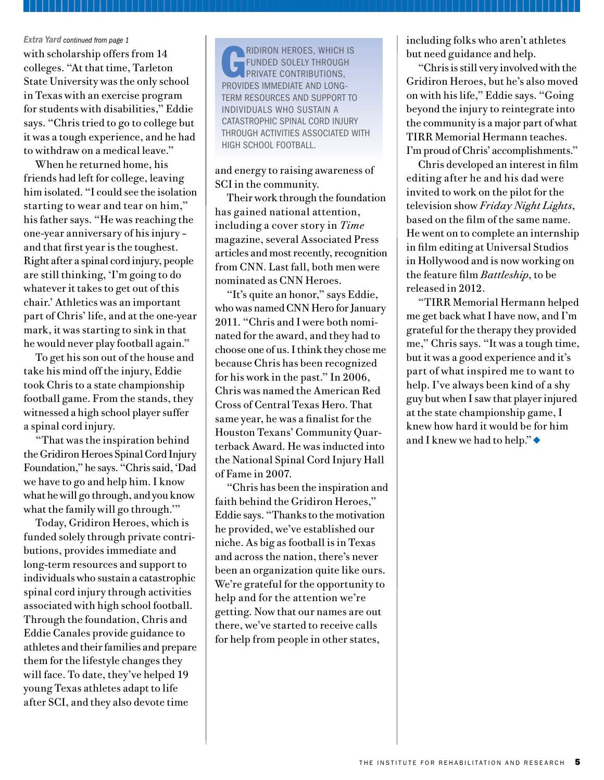with scholarship offers from 14 colleges. "At that time, Tarleton State University was the only school in Texas with an exercise program for students with disabilities," Eddie says. "Chris tried to go to college but it was a tough experience, and he had to withdraw on a medical leave."

When he returned home, his friends had left for college, leaving him isolated. "I could see the isolation starting to wear and tear on him," his father says. "He was reaching the one-year anniversary of his injury – and that first year is the toughest. Right after a spinal cord injury, people are still thinking, 'I'm going to do whatever it takes to get out of this chair.' Athletics was an important part of Chris' life, and at the one-year mark, it was starting to sink in that he would never play football again."

To get his son out of the house and take his mind off the injury, Eddie took Chris to a state championship football game. From the stands, they witnessed a high school player suffer a spinal cord injury.

"That was the inspiration behind the Gridiron Heroes Spinal Cord Injury Foundation," he says. "Chris said, 'Dad we have to go and help him. I know what he will go through, and you know what the family will go through."

Today, Gridiron Heroes, which is funded solely through private contributions, provides immediate and long-term resources and support to individuals who sustain a catastrophic spinal cord injury through activities associated with high school football. Through the foundation, Chris and Eddie Canales provide guidance to athletes and their families and prepare them for the lifestyle changes they will face. To date, they've helped 19 young Texas athletes adapt to life after SCI, and they also devote time

RIDIRON HEROES, WHICH IS funded solely through private contributions, provides immediate and longterm resources and support to individuals who sustain a catastrophic spinal cord injury through activities associated with high school football.

and energy to raising awareness of SCI in the community.

Their work through the foundation has gained national attention, including a cover story in *Time* magazine, several Associated Press articles and most recently, recognition from CNN. Last fall, both men were nominated as CNN Heroes.

"It's quite an honor," says Eddie, who was named CNN Hero for January 2011. "Chris and I were both nominated for the award, and they had to choose one of us. I think they chose me because Chris has been recognized for his work in the past." In 2006, Chris was named the American Red Cross of Central Texas Hero. That same year, he was a finalist for the Houston Texans' Community Quarterback Award. He was inducted into the National Spinal Cord Injury Hall of Fame in 2007.

"Chris has been the inspiration and faith behind the Gridiron Heroes," Eddie says. "Thanks to the motivation he provided, we've established our niche. As big as football is in Texas and across the nation, there's never been an organization quite like ours. We're grateful for the opportunity to help and for the attention we're getting. Now that our names are out there, we've started to receive calls for help from people in other states,

**Extra Yard** continued from page 1 **including folks who aren't athletes** but need guidance and help.

> "Chris is still very involved with the Gridiron Heroes, but he's also moved on with his life," Eddie says. "Going beyond the injury to reintegrate into the community is a major part of what TIRR Memorial Hermann teaches. I'm proud of Chris' accomplishments."

> Chris developed an interest in film editing after he and his dad were invited to work on the pilot for the television show *Friday Night Lights*, based on the film of the same name. He went on to complete an internship in film editing at Universal Studios in Hollywood and is now working on the feature film *Battleship*, to be released in 2012.

> "TIRR Memorial Hermann helped me get back what I have now, and I'm grateful for the therapy they provided me," Chris says. "It was a tough time, but it was a good experience and it's part of what inspired me to want to help. I've always been kind of a shy guy but when I saw that player injured at the state championship game, I knew how hard it would be for him and I knew we had to help." $\bullet$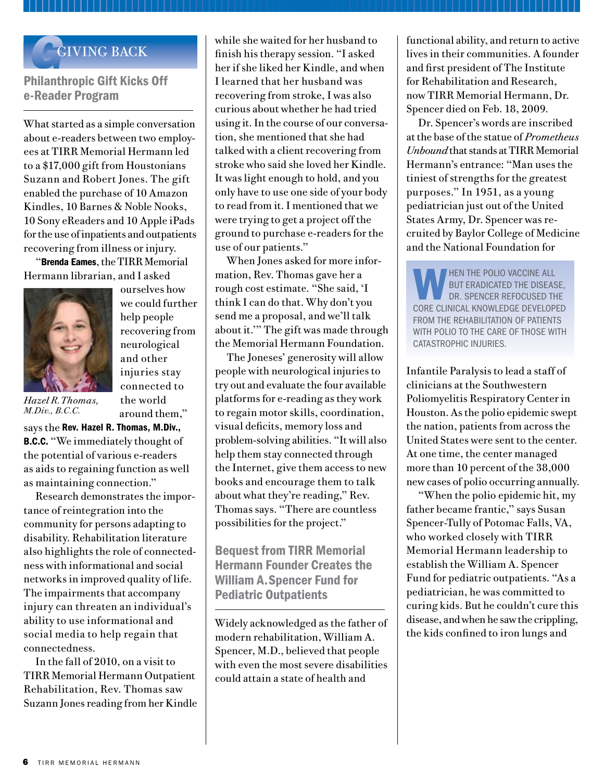## GIVING BACK

## Philanthropic Gift Kicks Off e-Reader Program

What started as a simple conversation about e-readers between two employees at TIRR Memorial Hermann led to a \$17,000 gift from Houstonians Suzann and Robert Jones. The gift enabled the purchase of 10 Amazon Kindles, 10 Barnes & Noble Nooks, 10 Sony eReaders and 10 Apple iPads for the use of inpatients and outpatients recovering from illness or injury.

"Brenda Eames, the TIRR Memorial Hermann librarian, and I asked



ourselves how we could further help people recovering from neurological and other injuries stay connected to the world around them,"

*Hazel R. Thomas, M.Div., B.C.C.*

says the Rev. Hazel R. Thomas, M.Div., B.C.C. "We immediately thought of the potential of various e-readers as aids to regaining function as well as maintaining connection."

Research demonstrates the importance of reintegration into the community for persons adapting to disability. Rehabilitation literature also highlights the role of connectedness with informational and social networks in improved quality of life. The impairments that accompany injury can threaten an individual's ability to use informational and social media to help regain that connectedness.

In the fall of 2010, on a visit to TIRR Memorial Hermann Outpatient Rehabilitation, Rev. Thomas saw Suzann Jones reading from her Kindle while she waited for her husband to finish his therapy session. "I asked her if she liked her Kindle, and when I learned that her husband was recovering from stroke, I was also curious about whether he had tried using it. In the course of our conversation, she mentioned that she had talked with a client recovering from stroke who said she loved her Kindle. It was light enough to hold, and you only have to use one side of your body to read from it. I mentioned that we were trying to get a project off the ground to purchase e-readers for the use of our patients."

When Jones asked for more information, Rev. Thomas gave her a rough cost estimate. "She said, 'I think I can do that. Why don't you send me a proposal, and we'll talk about it.'" The gift was made through the Memorial Hermann Foundation.

The Joneses' generosity will allow people with neurological injuries to try out and evaluate the four available platforms for e-reading as they work to regain motor skills, coordination, visual deficits, memory loss and problem-solving abilities. "It will also help them stay connected through the Internet, give them access to new books and encourage them to talk about what they're reading," Rev. Thomas says. "There are countless possibilities for the project."

Bequest from TIRR Memorial Hermann Founder Creates the William A. Spencer Fund for Pediatric Outpatients

Widely acknowledged as the father of modern rehabilitation, William A. Spencer, M.D., believed that people with even the most severe disabilities could attain a state of health and

functional ability, and return to active lives in their communities. A founder and first president of The Institute for Rehabilitation and Research, now TIRR Memorial Hermann, Dr. Spencer died on Feb. 18, 2009.

Dr. Spencer's words are inscribed at the base of the statue of *Prometheus Unbound* that stands at TIRR Memorial Hermann's entrance: "Man uses the tiniest of strengths for the greatest purposes." In 1951, as a young pediatrician just out of the United States Army, Dr. Spencer was recruited by Baylor College of Medicine and the National Foundation for

WHEN THE POLIO VACCINE ALL<br>BUT ERADICATED THE DISEAS<br>DR. SPENCER REFOCUSED TH but eradicated the disease, DR. SPENCER REFOCUSED THE core clinical knowledge developed from the rehabilitation of patients WITH POLIO TO THE CARE OF THOSE WITH catastrophic injuries.

Infantile Paralysis to lead a staff of clinicians at the Southwestern Poliomyelitis Respiratory Center in Houston. As the polio epidemic swept the nation, patients from across the United States were sent to the center. At one time, the center managed more than 10 percent of the 38,000 new cases of polio occurring annually.

"When the polio epidemic hit, my father became frantic," says Susan Spencer-Tully of Potomac Falls, VA, who worked closely with TIRR Memorial Hermann leadership to establish the William A. Spencer Fund for pediatric outpatients. "As a pediatrician, he was committed to curing kids. But he couldn't cure this disease, and when he saw the crippling, the kids confined to iron lungs and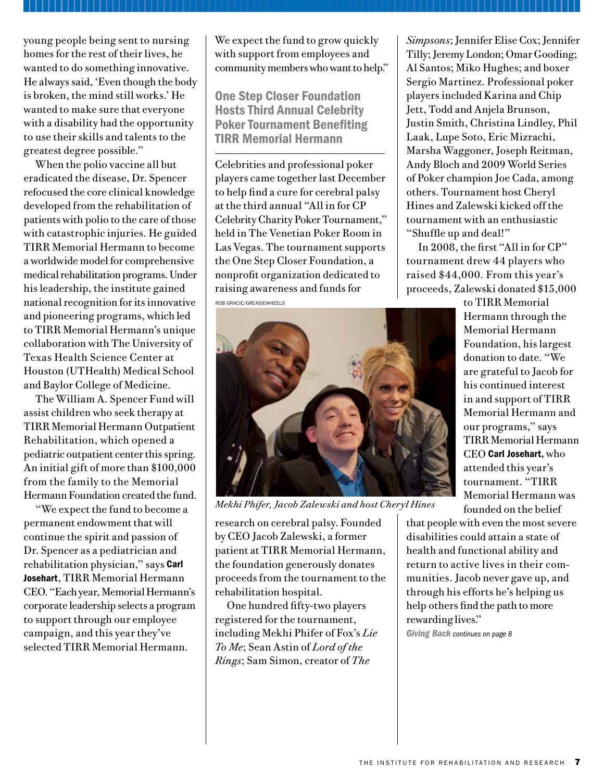young people being sent to nursing homes for the rest of their lives, he wanted to do something innovative. He always said, 'Even though the body is broken, the mind still works.' He wanted to make sure that everyone with a disability had the opportunity to use their skills and talents to the greatest degree possible."

When the polio vaccine all but eradicated the disease, Dr. Spencer refocused the core clinical knowledge developed from the rehabilitation of patients with polio to the care of those with catastrophic injuries. He guided TIRR Memorial Hermann to become a worldwide model for comprehensive medical rehabilitation programs. Under his leadership, the institute gained national recognition for its innovative and pioneering programs, which led to TIRR Memorial Hermann's unique collaboration with The University of Texas Health Science Center at Houston (UTHealth) Medical School and Baylor College of Medicine.

The William A. Spencer Fund will assist children who seek therapy at TIRR Memorial Hermann Outpatient Rehabilitation, which opened a pediatric outpatient center this spring. An initial gift of more than \$100,000 from the family to the Memorial Hermann Foundation created the fund.

"We expect the fund to become a permanent endowment that will continue the spirit and passion of Dr. Spencer as a pediatrician and rehabilitation physician," says Carl Josehart, TIRR Memorial Hermann CEO. "Each year, Memorial Hermann's corporate leadership selects a program to support through our employee campaign, and this year they've selected TIRR Memorial Hermann.

We expect the fund to grow quickly with support from employees and community members who want to help."

One Step Closer Foundation Hosts Third Annual Celebrity Poker Tournament Benefiting TIRR Memorial Hermann

Celebrities and professional poker players came together last December to help find a cure for cerebral palsy at the third annual "All in for CP Celebrity Charity Poker Tournament," held in The Venetian Poker Room in Las Vegas. The tournament supports the One Step Closer Foundation, a nonprofit organization dedicated to raising awareness and funds for

Rob Gracie/GreasieWheels



*Mekhi Phifer, Jacob Zalewski and host Cheryl Hines*

research on cerebral palsy. Founded by CEO Jacob Zalewski, a former patient at TIRR Memorial Hermann, the foundation generously donates proceeds from the tournament to the rehabilitation hospital.

One hundred fifty-two players registered for the tournament, including Mekhi Phifer of Fox's *Lie To Me*; Sean Astin of *Lord of the Rings*; Sam Simon, creator of *The* 

*Simpsons*; Jennifer Elise Cox; Jennifer Tilly; Jeremy London; Omar Gooding; Al Santos; Miko Hughes; and boxer Sergio Martinez. Professional poker players included Karina and Chip Jett, Todd and Anjela Brunson, Justin Smith, Christina Lindley, Phil Laak, Lupe Soto, Eric Mizrachi, Marsha Waggoner, Joseph Reitman, Andy Bloch and 2009 World Series of Poker champion Joe Cada, among others. Tournament host Cheryl Hines and Zalewski kicked off the tournament with an enthusiastic "Shuffle up and deal!"

In 2008, the first "All in for CP" tournament drew 44 players who raised \$44,000. From this year's proceeds, Zalewski donated \$15,000

> to TIRR Memorial Hermann through the Memorial Hermann Foundation, his largest donation to date. "We are grateful to Jacob for his continued interest in and support of TIRR Memorial Hermann and our programs," says TIRR Memorial Hermann CEO Carl Josehart, who attended this year's tournament. "TIRR Memorial Hermann was founded on the belief

that people with even the most severe disabilities could attain a state of health and functional ability and return to active lives in their communities. Jacob never gave up, and through his efforts he's helping us help others find the path to more rewarding lives."

*Giving Back continues on page 8*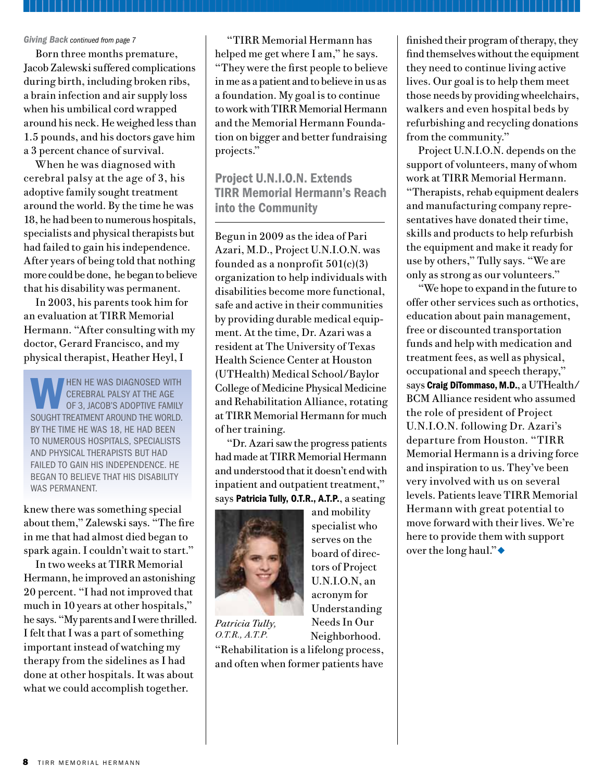#### *Giving Back continued from page 7*

Born three months premature, Jacob Zalewski suffered complications during birth, including broken ribs, a brain infection and air supply loss when his umbilical cord wrapped around his neck. He weighed less than 1.5 pounds, and his doctors gave him a 3 percent chance of survival.

When he was diagnosed with cerebral palsy at the age of 3, his adoptive family sought treatment around the world. By the time he was 18, he had been to numerous hospitals, specialists and physical therapists but had failed to gain his independence. After years of being told that nothing more could be done, he began to believe that his disability was permanent.

In 2003, his parents took him for an evaluation at TIRR Memorial Hermann. "After consulting with my doctor, Gerard Francisco, and my physical therapist, Heather Heyl, I

WHEN HE WAS DIAGNOSED WITH<br>CEREBRAL PALSY AT THE AGE<br>OF 3, JACOB'S ADOPTIVE FAMILY cerebral palsy at the age sought treatment around the world. By the time he was 18, he had been to numerous hospitals, specialists and physical therapists but had failed to gain his independence. he began to believe that his disability was permanent.

knew there was something special about them," Zalewski says. "The fire in me that had almost died began to spark again. I couldn't wait to start."

In two weeks at TIRR Memorial Hermann, he improved an astonishing 20 percent. "I had not improved that much in 10 years at other hospitals," he says. "My parents and I were thrilled. I felt that I was a part of something important instead of watching my therapy from the sidelines as I had done at other hospitals. It was about what we could accomplish together.

"TIRR Memorial Hermann has helped me get where I am," he says. "They were the first people to believe in me as a patient and to believe in us as a foundation. My goal is to continue to work with TIRR Memorial Hermann and the Memorial Hermann Foundation on bigger and better fundraising projects."

Project U.N.I.O.N. Extends TIRR Memorial Hermann's Reach into the Community

Begun in 2009 as the idea of Pari Azari, M.D., Project U.N.I.O.N. was founded as a nonprofit 501(c)(3) organization to help individuals with disabilities become more functional, safe and active in their communities by providing durable medical equipment. At the time, Dr. Azari was a resident at The University of Texas Health Science Center at Houston (UTHealth) Medical School/Baylor College of Medicine Physical Medicine and Rehabilitation Alliance, rotating at TIRR Memorial Hermann for much of her training.

"Dr. Azari saw the progress patients had made at TIRR Memorial Hermann and understood that it doesn't end with inpatient and outpatient treatment," says Patricia Tully, O.T.R., A.T.P., a seating

> and mobility specialist who serves on the board of directors of Project U.N.I.O.N, an acronym for Understanding Needs In Our Neighborhood.



*Patricia Tully, O.T.R., A.T.P.* 

"Rehabilitation is a lifelong process, and often when former patients have

finished their program of therapy, they find themselves without the equipment they need to continue living active lives. Our goal is to help them meet those needs by providing wheelchairs, walkers and even hospital beds by refurbishing and recycling donations from the community."

Project U.N.I.O.N. depends on the support of volunteers, many of whom work at TIRR Memorial Hermann. "Therapists, rehab equipment dealers and manufacturing company representatives have donated their time, skills and products to help refurbish the equipment and make it ready for use by others," Tully says. "We are only as strong as our volunteers."

"We hope to expand in the future to offer other services such as orthotics, education about pain management, free or discounted transportation funds and help with medication and treatment fees, as well as physical, occupational and speech therapy," says Craig DiTommaso, M.D., a UTHealth/ BCM Alliance resident who assumed the role of president of Project U.N.I.O.N. following Dr. Azari's departure from Houston. "TIRR Memorial Hermann is a driving force and inspiration to us. They've been very involved with us on several levels. Patients leave TIRR Memorial Hermann with great potential to move forward with their lives. We're here to provide them with support over the long haul." $\bullet$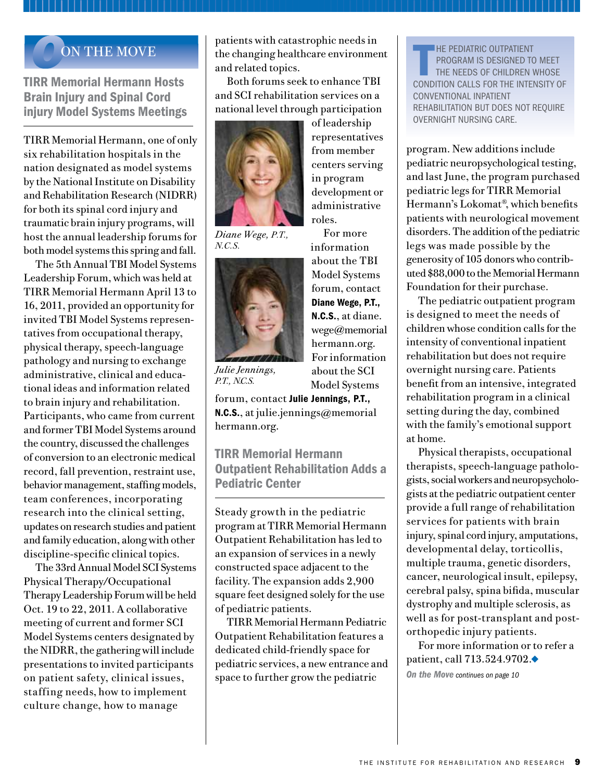## **ON THE MOVE**

TIRR Memorial Hermann Hosts Brain Injury and Spinal Cord injury Model Systems Meetings

TIRR Memorial Hermann, one of only six rehabilitation hospitals in the nation designated as model systems by the National Institute on Disability and Rehabilitation Research (NIDRR) for both its spinal cord injury and traumatic brain injury programs, will host the annual leadership forums for both model systems this spring and fall.

The 5th Annual TBI Model Systems Leadership Forum, which was held at TIRR Memorial Hermann April 13 to 16, 2011, provided an opportunity for invited TBI Model Systems representatives from occupational therapy, physical therapy, speech-language pathology and nursing to exchange administrative, clinical and educational ideas and information related to brain injury and rehabilitation. Participants, who came from current and former TBI Model Systems around the country, discussed the challenges of conversion to an electronic medical record, fall prevention, restraint use, behavior management, staffing models, team conferences, incorporating research into the clinical setting, updates on research studies and patient and family education, along with other discipline-specific clinical topics.

The 33rd Annual Model SCI Systems Physical Therapy/Occupational Therapy Leadership Forum will be held Oct. 19 to 22, 2011. A collaborative meeting of current and former SCI Model Systems centers designated by the NIDRR, the gathering will include presentations to invited participants on patient safety, clinical issues, staffing needs, how to implement culture change, how to manage

patients with catastrophic needs in the changing healthcare environment and related topics.

Both forums seek to enhance TBI and SCI rehabilitation services on a national level through participation



*Diane Wege, P.T., N.C.S.* 



*Julie Jennings, P.T., N.C.S.*

forum, contact Julie Jennings, P.T., N.C.S., at julie.jennings@memorial hermann.org.

TIRR Memorial Hermann Outpatient Rehabilitation Adds a Pediatric Center

Steady growth in the pediatric program at TIRR Memorial Hermann Outpatient Rehabilitation has led to an expansion of services in a newly constructed space adjacent to the facility. The expansion adds 2,900 square feet designed solely for the use of pediatric patients.

TIRR Memorial Hermann Pediatric Outpatient Rehabilitation features a dedicated child-friendly space for pediatric services, a new entrance and space to further grow the pediatric

HE PEDIATRIC OUTPATIENT<br>PROGRAM IS DESIGNED TO MEET<br>THE NEEDS OF CHILDREN WHOSE<br>CONDITION CALLS FOR THE INTENSITY O **HE PEDIATRIC OUTPATIENT** program is designed to meet the needs of children whose conventional inpatient rehabilitation but does not require overnight nursing care.

program. New additions include pediatric neuropsychological testing, and last June, the program purchased pediatric legs for TIRR Memorial Hermann's Lokomat®, which benefits patients with neurological movement disorders. The addition of the pediatric legs was made possible by the generosity of 105 donors who contributed \$88,000 to the Memorial Hermann Foundation for their purchase.

The pediatric outpatient program is designed to meet the needs of children whose condition calls for the intensity of conventional inpatient rehabilitation but does not require overnight nursing care. Patients benefit from an intensive, integrated rehabilitation program in a clinical setting during the day, combined with the family's emotional support at home.

Physical therapists, occupational therapists, speech-language pathologists, social workers and neuropsychologists at the pediatric outpatient center provide a full range of rehabilitation services for patients with brain injury, spinal cord injury, amputations, developmental delay, torticollis, multiple trauma, genetic disorders, cancer, neurological insult, epilepsy, cerebral palsy, spina bifida, muscular dystrophy and multiple sclerosis, as well as for post-transplant and postorthopedic injury patients.

For more information or to refer a patient, call  $713.524.9702.$ 

*On the Move continues on page 10*

For more information about the TBI Model Systems forum, contact Diane Wege, P.T., N.C.S., at diane. wege@memorial hermann.org. For information about the SCI Model Systems

of leadership representatives from member centers serving in program development or administrative

roles.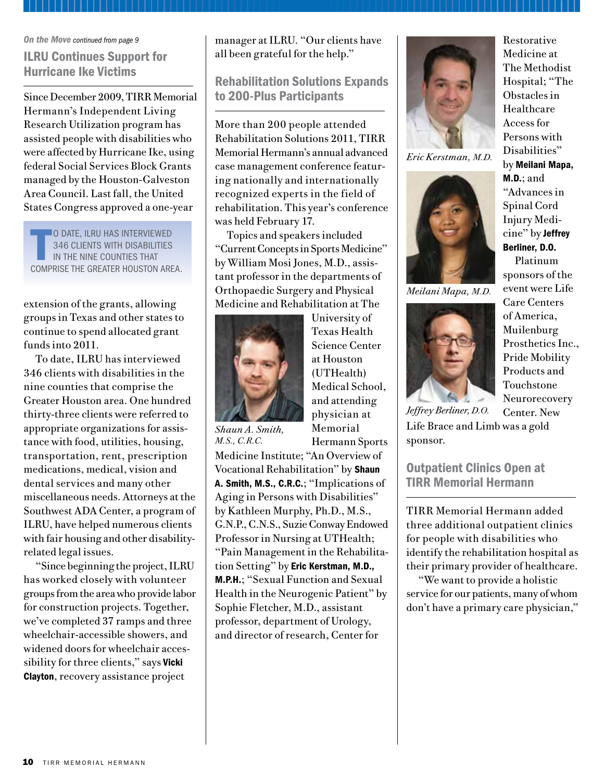#### *On the Move continued from page 9*

ILRU Continues Support for Hurricane Ike Victims

Since December 2009, TIRR Memorial Hermann's Independent Living Research Utilization program has assisted people with disabilities who were affected by Hurricane Ike, using federal Social Services Block Grants managed by the Houston-Galveston Area Council. Last fall, the United States Congress approved a one-year

 $\frac{1}{2}$ **O DATE, ILRU HAS INTERVIEWED** 346 clients with disabilities in the nine counties that comprise the Greater Houston area.

extension of the grants, allowing groups in Texas and other states to continue to spend allocated grant funds into 2011.

To date, ILRU has interviewed 346 clients with disabilities in the nine counties that comprise the Greater Houston area. One hundred thirty-three clients were referred to appropriate organizations for assistance with food, utilities, housing, transportation, rent, prescription medications, medical, vision and dental services and many other miscellaneous needs. Attorneys at the Southwest ADA Center, a program of ILRU, have helped numerous clients with fair housing and other disabilityrelated legal issues.

"Since beginning the project, ILRU has worked closely with volunteer groups from the area who provide labor for construction projects. Together, we've completed 37 ramps and three wheelchair-accessible showers, and widened doors for wheelchair accessibility for three clients," says Vicki Clayton, recovery assistance project

manager at ILRU. "Our clients have all been grateful for the help."

## Rehabilitation Solutions Expands to 200-Plus Participants

More than 200 people attended Rehabilitation Solutions 2011, TIRR Memorial Hermann's annual advanced case management conference featuring nationally and internationally recognized experts in the field of rehabilitation. This year's conference was held February 17.

Topics and speakers included "Current Concepts in Sports Medicine" by William Mosi Jones, M.D., assistant professor in the departments of Orthopaedic Surgery and Physical Medicine and Rehabilitation at The



University of Texas Health Science Center at Houston (UTHealth) Medical School, and attending physician at Memorial Hermann Sports

*Shaun A. Smith, M.S., C.R.C.*

Medicine Institute; "An Overview of Vocational Rehabilitation" by **Shaun** A. Smith, M.S., C.R.C.; "Implications of Aging in Persons with Disabilities" by Kathleen Murphy, Ph.D., M.S., G.N.P., C.N.S., Suzie Conway Endowed Professor in Nursing at UTHealth; "Pain Management in the Rehabilitation Setting" by Eric Kerstman, M.D., M.P.H.; "Sexual Function and Sexual Health in the Neurogenic Patient" by Sophie Fletcher, M.D., assistant professor, department of Urology, and director of research, Center for



*Eric Kerstman, M.D.*



*Meilani Mapa, M.D.*



Medicine at The Methodist Hospital; "The Obstacles in Healthcare Access for Persons with Disabilities" by Meilani Mapa,  $M.D.:$  and "Advances in Spinal Cord Injury Medicine" by Jeffrey Berliner, D.O.

Restorative

Platinum sponsors of the event were Life Care Centers of America, Muilenburg Prosthetics Inc., Pride Mobility Products and Touchstone Neurorecovery Center. New

Life Brace and Limb was a gold sponsor. *Jeffrey Berliner, D.O.*

Outpatient Clinics Open at TIRR Memorial Hermann

TIRR Memorial Hermann added three additional outpatient clinics for people with disabilities who identify the rehabilitation hospital as their primary provider of healthcare.

"We want to provide a holistic service for our patients, many of whom don't have a primary care physician,"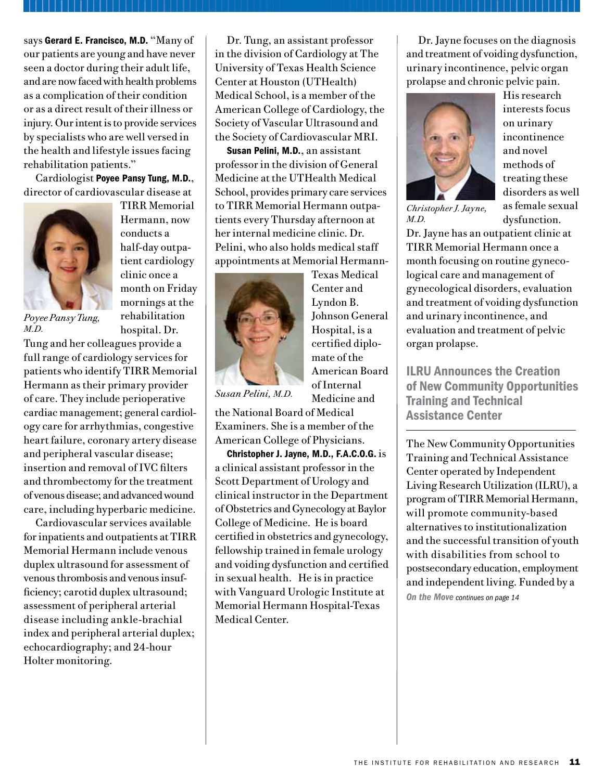says Gerard E. Francisco, M.D. "Many of our patients are young and have never seen a doctor during their adult life, and are now faced with health problems as a complication of their condition or as a direct result of their illness or injury. Our intent is to provide services by specialists who are well versed in the health and lifestyle issues facing rehabilitation patients."

Cardiologist Poyee Pansy Tung, M.D., director of cardiovascular disease at



TIRR Memorial Hermann, now conducts a half-day outpatient cardiology clinic once a month on Friday mornings at the rehabilitation hospital. Dr.

*Poyee Pansy Tung, M.D.*

Tung and her colleagues provide a full range of cardiology services for patients who identify TIRR Memorial Hermann as their primary provider of care. They include perioperative cardiac management; general cardiology care for arrhythmias, congestive heart failure, coronary artery disease and peripheral vascular disease; insertion and removal of IVC filters and thrombectomy for the treatment of venous disease; and advanced wound care, including hyperbaric medicine.

Cardiovascular services available for inpatients and outpatients at TIRR Memorial Hermann include venous duplex ultrasound for assessment of venous thrombosis and venous insufficiency; carotid duplex ultrasound; assessment of peripheral arterial disease including ankle-brachial index and peripheral arterial duplex; echocardiography; and 24-hour Holter monitoring.

Dr. Tung, an assistant professor in the division of Cardiology at The University of Texas Health Science Center at Houston (UTHealth) Medical School, is a member of the American College of Cardiology, the Society of Vascular Ultrasound and the Society of Cardiovascular MRI.

Susan Pelini, M.D., an assistant professor in the division of General Medicine at the UTHealth Medical School, provides primary care services to TIRR Memorial Hermann outpatients every Thursday afternoon at her internal medicine clinic. Dr. Pelini, who also holds medical staff appointments at Memorial Hermann-



Texas Medical Center and Lyndon B. Johnson General Hospital, is a certified diplomate of the American Board of Internal Medicine and

*Susan Pelini, M.D.*

the National Board of Medical Examiners. She is a member of the American College of Physicians.

Christopher J. Jayne, M.D., F.A.C.O.G. is a clinical assistant professor in the Scott Department of Urology and clinical instructor in the Department of Obstetrics and Gynecology at Baylor College of Medicine. He is board certified in obstetrics and gynecology, fellowship trained in female urology and voiding dysfunction and certified in sexual health. He is in practice with Vanguard Urologic Institute at Memorial Hermann Hospital-Texas Medical Center.

Dr. Jayne focuses on the diagnosis and treatment of voiding dysfunction, urinary incontinence, pelvic organ prolapse and chronic pelvic pain.



His research interests focus on urinary incontinence and novel methods of treating these disorders as well as female sexual dysfunction.

*Christopher J. Jayne, M.D.* 

Dr. Jayne has an outpatient clinic at TIRR Memorial Hermann once a month focusing on routine gynecological care and management of gynecological disorders, evaluation and treatment of voiding dysfunction and urinary incontinence, and evaluation and treatment of pelvic organ prolapse.

ILRU Announces the Creation of New Community Opportunities Training and Technical Assistance Center

The New Community Opportunities Training and Technical Assistance Center operated by Independent Living Research Utilization (ILRU), a program of TIRR Memorial Hermann, will promote community-based alternatives to institutionalization and the successful transition of youth with disabilities from school to postsecondary education, employment and independent living. Funded by a *On the Move continues on page 14*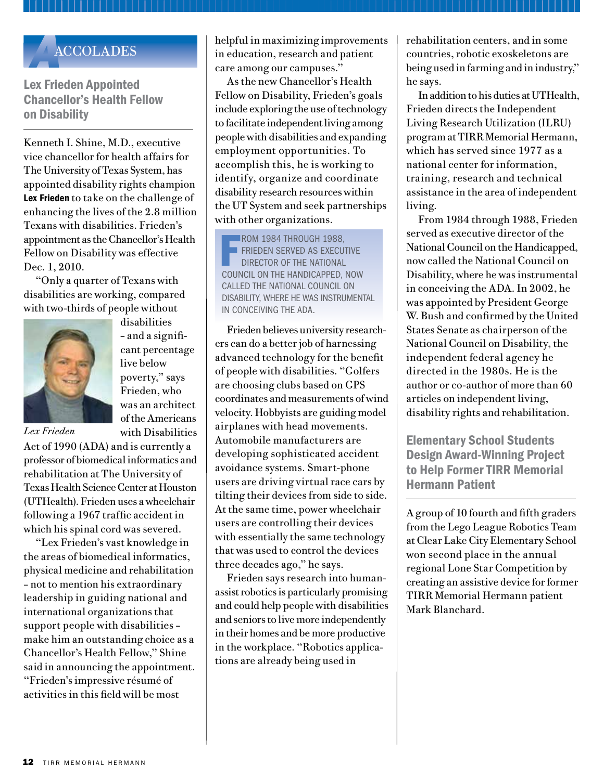Lex Frieden Appointed Chancellor's Health Fellow on Disability

Kenneth I. Shine, M.D., executive vice chancellor for health affairs for The University of Texas System, has appointed disability rights champion Lex Frieden to take on the challenge of enhancing the lives of the 2.8 million Texans with disabilities. Frieden's appointment as the Chancellor's Health Fellow on Disability was effective Dec. 1, 2010.

"Only a quarter of Texans with disabilities are working, compared with two-thirds of people without



disabilities – and a significant percentage live below poverty," says Frieden, who was an architect of the Americans with Disabilities

*Lex Frieden*

Act of 1990 (ADA) and is currently a professor of biomedical informatics and rehabilitation at The University of Texas Health Science Center at Houston (UTHealth). Frieden uses a wheelchair following a 1967 traffic accident in which his spinal cord was severed.

"Lex Frieden's vast knowledge in the areas of biomedical informatics, physical medicine and rehabilitation – not to mention his extraordinary leadership in guiding national and international organizations that support people with disabilities – make him an outstanding choice as a Chancellor's Health Fellow," Shine said in announcing the appointment. "Frieden's impressive résumé of activities in this field will be most

**ACCOLADES** helpful in maximizing improvements<br>in education, research and patient<br>care among our campuses." in education, research and patient care among our campuses."

As the new Chancellor's Health Fellow on Disability, Frieden's goals include exploring the use of technology to facilitate independent living among people with disabilities and expanding employment opportunities. To accomplish this, he is working to identify, organize and coordinate disability research resources within the UT System and seek partnerships with other organizations.

**FROM 1984 THROUGH 1988,<br>FRIEDEN SERVED AS EXECUTI<br>DIRECTOR OF THE NATIONAL<br>COUNCIL ON THE HANDICAPPED, N** ROM 1984 THROUGH 1988, Frieden served as executive director of the National called the National Council on Disability, where he was instrumental in conceiving the ADA.

Frieden believes university researchers can do a better job of harnessing advanced technology for the benefit of people with disabilities. "Golfers are choosing clubs based on GPS coordinates and measurements of wind velocity. Hobbyists are guiding model airplanes with head movements. Automobile manufacturers are developing sophisticated accident avoidance systems. Smart-phone users are driving virtual race cars by tilting their devices from side to side. At the same time, power wheelchair users are controlling their devices with essentially the same technology that was used to control the devices three decades ago," he says.

Frieden says research into humanassist robotics is particularly promising and could help people with disabilities and seniors to live more independently in their homes and be more productive in the workplace. "Robotics applications are already being used in

rehabilitation centers, and in some countries, robotic exoskeletons are being used in farming and in industry," he says.

In addition to his duties at UTHealth, Frieden directs the Independent Living Research Utilization (ILRU) program at TIRR Memorial Hermann, which has served since 1977 as a national center for information, training, research and technical assistance in the area of independent living.

From 1984 through 1988, Frieden served as executive director of the National Council on the Handicapped, now called the National Council on Disability, where he was instrumental in conceiving the ADA. In 2002, he was appointed by President George W. Bush and confirmed by the United States Senate as chairperson of the National Council on Disability, the independent federal agency he directed in the 1980s. He is the author or co-author of more than 60 articles on independent living, disability rights and rehabilitation.

Elementary School Students Design Award-Winning Project to Help Former TIRR Memorial Hermann Patient

A group of 10 fourth and fifth graders from the Lego League Robotics Team at Clear Lake City Elementary School won second place in the annual regional Lone Star Competition by creating an assistive device for former TIRR Memorial Hermann patient Mark Blanchard.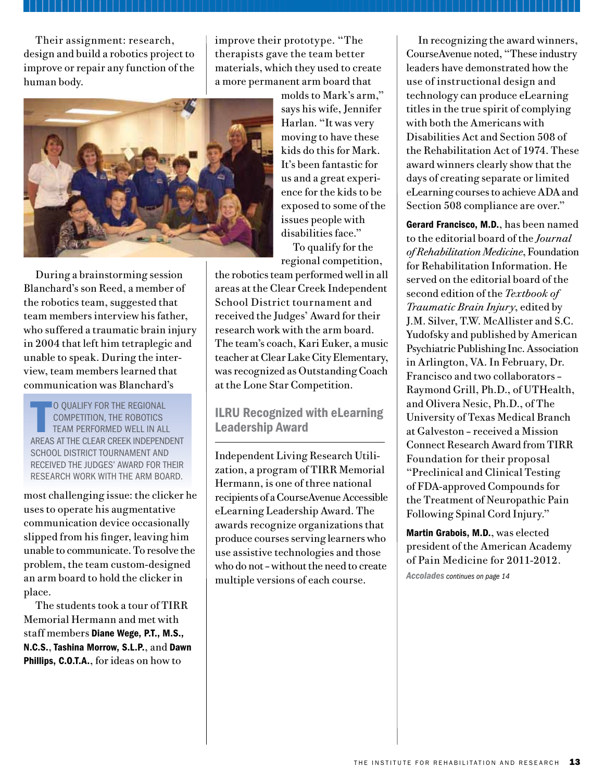Their assignment: research, design and build a robotics project to improve or repair any function of the human body.

improve their prototype. "The therapists gave the team better materials, which they used to create a more permanent arm board that



During a brainstorming session Blanchard's son Reed, a member of the robotics team, suggested that team members interview his father, who suffered a traumatic brain injury in 2004 that left him tetraplegic and unable to speak. During the interview, team members learned that communication was Blanchard's

 $\overline{\mathbf{I}}$ O QUALIFY FOR THE REGIONAL competition, the robotics team performed well in all areas at the Clear Creek Independent SCHOOL DISTRICT TOURNAMENT AND received the Judges' Award for their research work with the arm board.

most challenging issue: the clicker he uses to operate his augmentative communication device occasionally slipped from his finger, leaving him unable to communicate. To resolve the problem, the team custom-designed an arm board to hold the clicker in place.

The students took a tour of TIRR Memorial Hermann and met with staff members Diane Wege, P.T., M.S., N.C.S., Tashina Morrow, S.L.P., and Dawn Phillips, C.O.T.A., for ideas on how to

molds to Mark's arm," says his wife, Jennifer Harlan. "It was very moving to have these kids do this for Mark. It's been fantastic for us and a great experience for the kids to be exposed to some of the issues people with disabilities face."

To qualify for the regional competition,

the robotics team performed well in all areas at the Clear Creek Independent School District tournament and received the Judges' Award for their research work with the arm board. The team's coach, Kari Euker, a music teacher at Clear Lake City Elementary, was recognized as Outstanding Coach at the Lone Star Competition.

## ILRU Recognized with eLearning Leadership Award

Independent Living Research Utilization, a program of TIRR Memorial Hermann, is one of three national recipients of a CourseAvenue Accessible eLearning Leadership Award. The awards recognize organizations that produce courses serving learners who use assistive technologies and those who do not – without the need to create multiple versions of each course.

In recognizing the award winners, CourseAvenue noted, "These industry leaders have demonstrated how the use of instructional design and technology can produce eLearning titles in the true spirit of complying with both the Americans with Disabilities Act and Section 508 of the Rehabilitation Act of 1974. These award winners clearly show that the days of creating separate or limited eLearning courses to achieve ADA and Section 508 compliance are over."

Gerard Francisco, M.D., has been named to the editorial board of the *Journal of Rehabilitation Medicine*, Foundation for Rehabilitation Information. He served on the editorial board of the second edition of the *Textbook of Traumatic Brain Injury*, edited by J.M. Silver, T.W. McAllister and S.C. Yudofsky and published by American Psychiatric Publishing Inc. Association in Arlington, VA. In February, Dr. Francisco and two collaborators – Raymond Grill, Ph.D., of UTHealth, and Olivera Nesic, Ph.D., of The University of Texas Medical Branch at Galveston – received a Mission Connect Research Award from TIRR Foundation for their proposal "Preclinical and Clinical Testing of FDA-approved Compounds for the Treatment of Neuropathic Pain Following Spinal Cord Injury."

Martin Grabois, M.D., was elected president of the American Academy of Pain Medicine for 2011-2012.

*Accolades continues on page 14*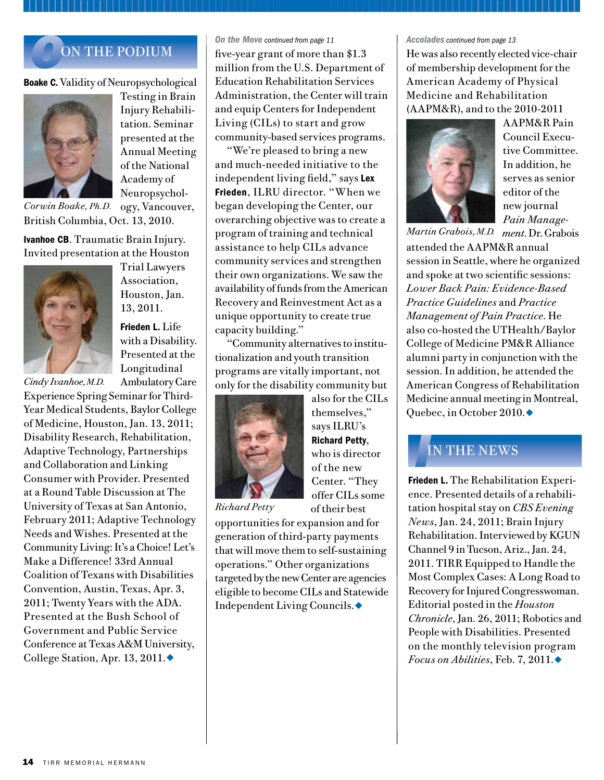## *O*ON THE PODIUM

Boake C. Validity of Neuropsychological



Testing in Brain Injury Rehabilitation. Seminar presented at the Annual Meeting of the National Academy of Neuropsychology, Vancouver,

British Columbia, Oct. 13, 2010. *Corwin Boake,Ph.D.*

Ivanhoe CB. Traumatic Brain Injury. Invited presentation at the Houston



Trial Lawyers Association, Houston, Jan. 13, 2011.

Frieden L. Life with a Disability. Presented at the Longitudinal

Ambulatory Care Experience Spring Seminar for Third-Year Medical Students, Baylor College of Medicine, Houston, Jan. 13, 2011; Disability Research, Rehabilitation, Adaptive Technology, Partnerships and Collaboration and Linking Consumer with Provider. Presented at a Round Table Discussion at The University of Texas at San Antonio, February 2011; Adaptive Technology Needs and Wishes. Presented at the Community Living: It's a Choice! Let's Make a Difference! 33rd Annual Coalition of Texans with Disabilities Convention, Austin, Texas, Apr. 3, 2011; Twenty Years with the ADA. Presented at the Bush School of Government and Public Service Conference at Texas A&M University, College Station, Apr. 13, 2011. $\blacklozenge$ *Cindy Ivanhoe, M.D.*

#### *On the Move continued from page 11*

five-year grant of more than \$1.3 million from the U.S. Department of Education Rehabilitation Services Administration, the Center will train and equip Centers for Independent Living (CILs) to start and grow community-based services programs.

"We're pleased to bring a new and much-needed initiative to the independent living field," says Lex Frieden, ILRU director. "When we began developing the Center, our overarching objective was to create a program of training and technical assistance to help CILs advance community services and strengthen their own organizations. We saw the availability of funds from the American Recovery and Reinvestment Act as a unique opportunity to create true capacity building."

"Community alternatives to institutionalization and youth transition programs are vitally important, not only for the disability community but



*Richard Petty*

themselves," says ILRU's Richard Petty, who is director of the new Center. "They offer CILs some

also for the CILs

of their best

opportunities for expansion and for generation of third-party payments that will move them to self-sustaining operations." Other organizations targeted by the new Center are agencies eligible to become CILs and Statewide Independent Living Councils.◆

#### *Accolades continued from page 13*

He was also recently elected vice-chair of membership development for the American Academy of Physical Medicine and Rehabilitation (AAPM&R), and to the 2010-2011



AAPM&R Pain Council Executive Committee. In addition, he serves as senior editor of the new journal *Pain Manage-*

*ment*. Dr. Grabois *Martin Grabois, M.D.*  attended the AAPM&R annual session in Seattle, where he organized and spoke at two scientific sessions: *Lower Back Pain: Evidence-Based Practice Guidelines* and *Practice Management of Pain Practice*. He also co-hosted the UTHealth/Baylor College of Medicine PM&R Alliance alumni party in conjunction with the session. In addition, he attended the American Congress of Rehabilitation Medicine annual meeting in Montreal, Quebec, in October 2010. $\blacklozenge$ 

## *I*IN THE NEWS

Frieden L. The Rehabilitation Experience. Presented details of a rehabilitation hospital stay on *CBS Evening News*, Jan. 24, 2011; Brain Injury Rehabilitation. Interviewed by KGUN Channel 9 in Tucson, Ariz., Jan. 24, 2011. TIRR Equipped to Handle the Most Complex Cases: A Long Road to Recovery for Injured Congresswoman. Editorial posted in the *Houston Chronicle*, Jan. 26, 2011; Robotics and People with Disabilities. Presented on the monthly television program *Focus on Abilities*, Feb. 7, 2011.◆